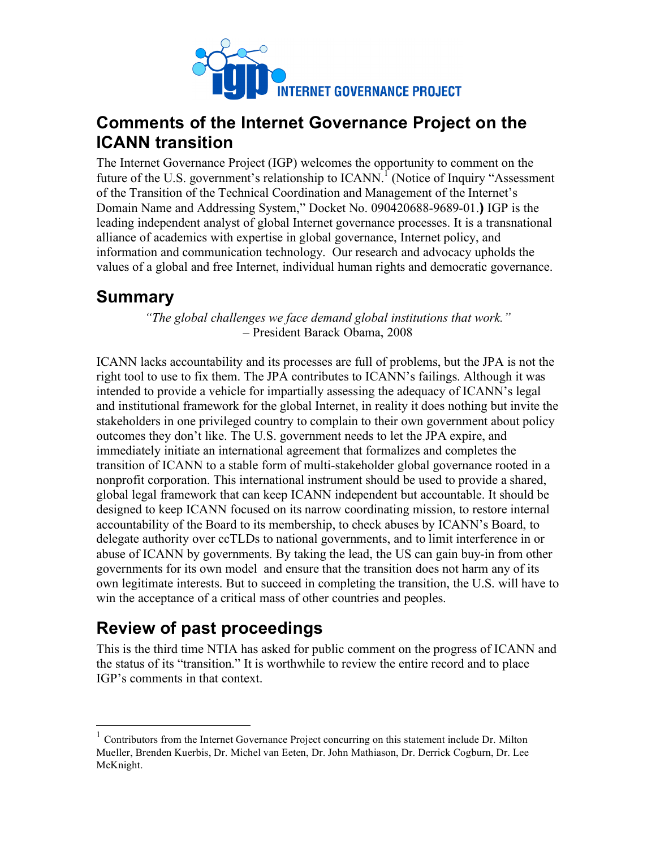

## **Comments of the Internet Governance Project on the ICANN transition**

The Internet Governance Project (IGP) welcomes the opportunity to comment on the future of the U.S. government's relationship to  $ICANN$ <sup>T</sup> (Notice of Inquiry "Assessment") of the Transition of the Technical Coordination and Management of the Internet's Domain Name and Addressing System," Docket No. 090420688-9689-01.**)** IGP is the leading independent analyst of global Internet governance processes. It is a transnational alliance of academics with expertise in global governance, Internet policy, and information and communication technology. Our research and advocacy upholds the values of a global and free Internet, individual human rights and democratic governance.

### **Summary**

*"The global challenges we face demand global institutions that work."* – President Barack Obama, 2008

ICANN lacks accountability and its processes are full of problems, but the JPA is not the right tool to use to fix them. The JPA contributes to ICANN's failings. Although it was intended to provide a vehicle for impartially assessing the adequacy of ICANN's legal and institutional framework for the global Internet, in reality it does nothing but invite the stakeholders in one privileged country to complain to their own government about policy outcomes they don't like. The U.S. government needs to let the JPA expire, and immediately initiate an international agreement that formalizes and completes the transition of ICANN to a stable form of multi-stakeholder global governance rooted in a nonprofit corporation. This international instrument should be used to provide a shared, global legal framework that can keep ICANN independent but accountable. It should be designed to keep ICANN focused on its narrow coordinating mission, to restore internal accountability of the Board to its membership, to check abuses by ICANN's Board, to delegate authority over ccTLDs to national governments, and to limit interference in or abuse of ICANN by governments. By taking the lead, the US can gain buy-in from other governments for its own model and ensure that the transition does not harm any of its own legitimate interests. But to succeed in completing the transition, the U.S. will have to win the acceptance of a critical mass of other countries and peoples.

# **Review of past proceedings**

This is the third time NTIA has asked for public comment on the progress of ICANN and the status of its "transition." It is worthwhile to review the entire record and to place IGP's comments in that context.

 <sup>1</sup> Contributors from the Internet Governance Project concurring on this statement include Dr. Milton Mueller, Brenden Kuerbis, Dr. Michel van Eeten, Dr. John Mathiason, Dr. Derrick Cogburn, Dr. Lee McKnight.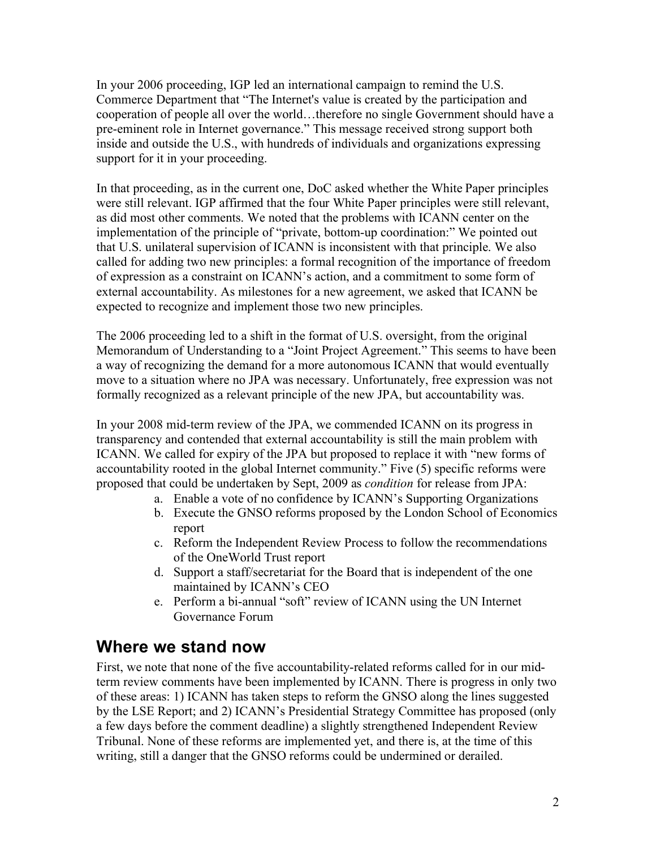In your 2006 proceeding, IGP led an international campaign to remind the U.S. Commerce Department that "The Internet's value is created by the participation and cooperation of people all over the world…therefore no single Government should have a pre-eminent role in Internet governance." This message received strong support both inside and outside the U.S., with hundreds of individuals and organizations expressing support for it in your proceeding.

In that proceeding, as in the current one, DoC asked whether the White Paper principles were still relevant. IGP affirmed that the four White Paper principles were still relevant, as did most other comments. We noted that the problems with ICANN center on the implementation of the principle of "private, bottom-up coordination:" We pointed out that U.S. unilateral supervision of ICANN is inconsistent with that principle. We also called for adding two new principles: a formal recognition of the importance of freedom of expression as a constraint on ICANN's action, and a commitment to some form of external accountability. As milestones for a new agreement, we asked that ICANN be expected to recognize and implement those two new principles.

The 2006 proceeding led to a shift in the format of U.S. oversight, from the original Memorandum of Understanding to a "Joint Project Agreement." This seems to have been a way of recognizing the demand for a more autonomous ICANN that would eventually move to a situation where no JPA was necessary. Unfortunately, free expression was not formally recognized as a relevant principle of the new JPA, but accountability was.

In your 2008 mid-term review of the JPA, we commended ICANN on its progress in transparency and contended that external accountability is still the main problem with ICANN. We called for expiry of the JPA but proposed to replace it with "new forms of accountability rooted in the global Internet community." Five (5) specific reforms were proposed that could be undertaken by Sept, 2009 as *condition* for release from JPA:

- a. Enable a vote of no confidence by ICANN's Supporting Organizations
- b. Execute the GNSO reforms proposed by the London School of Economics report
- c. Reform the Independent Review Process to follow the recommendations of the OneWorld Trust report
- d. Support a staff/secretariat for the Board that is independent of the one maintained by ICANN's CEO
- e. Perform a bi-annual "soft" review of ICANN using the UN Internet Governance Forum

#### **Where we stand now**

First, we note that none of the five accountability-related reforms called for in our midterm review comments have been implemented by ICANN. There is progress in only two of these areas: 1) ICANN has taken steps to reform the GNSO along the lines suggested by the LSE Report; and 2) ICANN's Presidential Strategy Committee has proposed (only a few days before the comment deadline) a slightly strengthened Independent Review Tribunal. None of these reforms are implemented yet, and there is, at the time of this writing, still a danger that the GNSO reforms could be undermined or derailed.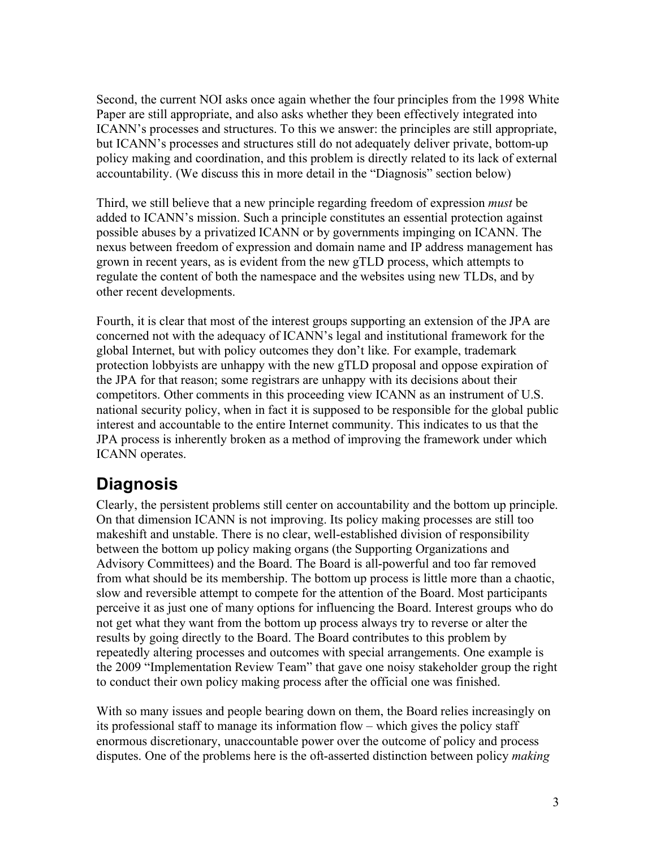Second, the current NOI asks once again whether the four principles from the 1998 White Paper are still appropriate, and also asks whether they been effectively integrated into ICANN's processes and structures. To this we answer: the principles are still appropriate, but ICANN's processes and structures still do not adequately deliver private, bottom-up policy making and coordination, and this problem is directly related to its lack of external accountability. (We discuss this in more detail in the "Diagnosis" section below)

Third, we still believe that a new principle regarding freedom of expression *must* be added to ICANN's mission. Such a principle constitutes an essential protection against possible abuses by a privatized ICANN or by governments impinging on ICANN. The nexus between freedom of expression and domain name and IP address management has grown in recent years, as is evident from the new gTLD process, which attempts to regulate the content of both the namespace and the websites using new TLDs, and by other recent developments.

Fourth, it is clear that most of the interest groups supporting an extension of the JPA are concerned not with the adequacy of ICANN's legal and institutional framework for the global Internet, but with policy outcomes they don't like. For example, trademark protection lobbyists are unhappy with the new gTLD proposal and oppose expiration of the JPA for that reason; some registrars are unhappy with its decisions about their competitors. Other comments in this proceeding view ICANN as an instrument of U.S. national security policy, when in fact it is supposed to be responsible for the global public interest and accountable to the entire Internet community. This indicates to us that the JPA process is inherently broken as a method of improving the framework under which ICANN operates.

## **Diagnosis**

Clearly, the persistent problems still center on accountability and the bottom up principle. On that dimension ICANN is not improving. Its policy making processes are still too makeshift and unstable. There is no clear, well-established division of responsibility between the bottom up policy making organs (the Supporting Organizations and Advisory Committees) and the Board. The Board is all-powerful and too far removed from what should be its membership. The bottom up process is little more than a chaotic, slow and reversible attempt to compete for the attention of the Board. Most participants perceive it as just one of many options for influencing the Board. Interest groups who do not get what they want from the bottom up process always try to reverse or alter the results by going directly to the Board. The Board contributes to this problem by repeatedly altering processes and outcomes with special arrangements. One example is the 2009 "Implementation Review Team" that gave one noisy stakeholder group the right to conduct their own policy making process after the official one was finished.

With so many issues and people bearing down on them, the Board relies increasingly on its professional staff to manage its information flow – which gives the policy staff enormous discretionary, unaccountable power over the outcome of policy and process disputes. One of the problems here is the oft-asserted distinction between policy *making*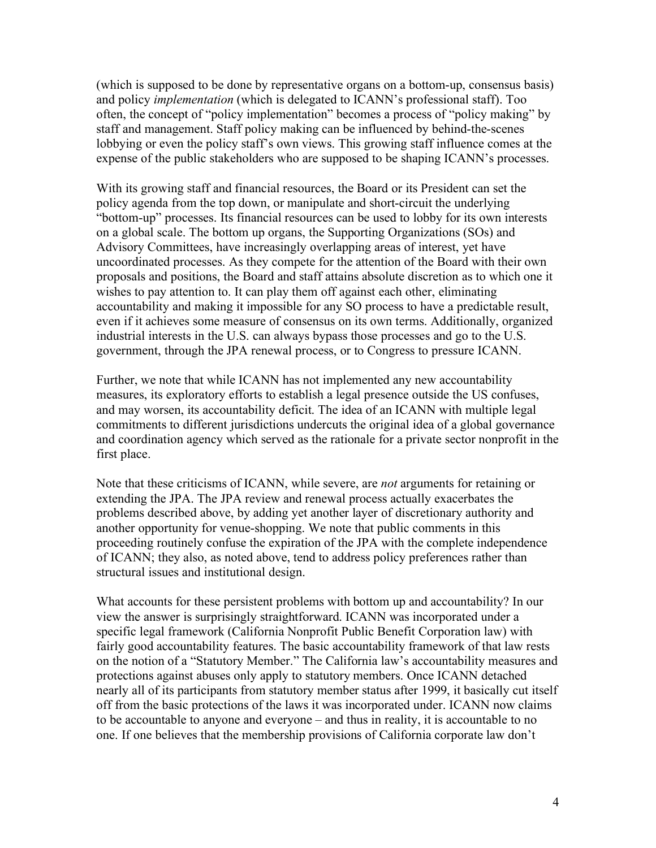(which is supposed to be done by representative organs on a bottom-up, consensus basis) and policy *implementation* (which is delegated to ICANN's professional staff). Too often, the concept of "policy implementation" becomes a process of "policy making" by staff and management. Staff policy making can be influenced by behind-the-scenes lobbying or even the policy staff's own views. This growing staff influence comes at the expense of the public stakeholders who are supposed to be shaping ICANN's processes.

With its growing staff and financial resources, the Board or its President can set the policy agenda from the top down, or manipulate and short-circuit the underlying "bottom-up" processes. Its financial resources can be used to lobby for its own interests on a global scale. The bottom up organs, the Supporting Organizations (SOs) and Advisory Committees, have increasingly overlapping areas of interest, yet have uncoordinated processes. As they compete for the attention of the Board with their own proposals and positions, the Board and staff attains absolute discretion as to which one it wishes to pay attention to. It can play them off against each other, eliminating accountability and making it impossible for any SO process to have a predictable result, even if it achieves some measure of consensus on its own terms. Additionally, organized industrial interests in the U.S. can always bypass those processes and go to the U.S. government, through the JPA renewal process, or to Congress to pressure ICANN.

Further, we note that while ICANN has not implemented any new accountability measures, its exploratory efforts to establish a legal presence outside the US confuses, and may worsen, its accountability deficit. The idea of an ICANN with multiple legal commitments to different jurisdictions undercuts the original idea of a global governance and coordination agency which served as the rationale for a private sector nonprofit in the first place.

Note that these criticisms of ICANN, while severe, are *not* arguments for retaining or extending the JPA. The JPA review and renewal process actually exacerbates the problems described above, by adding yet another layer of discretionary authority and another opportunity for venue-shopping. We note that public comments in this proceeding routinely confuse the expiration of the JPA with the complete independence of ICANN; they also, as noted above, tend to address policy preferences rather than structural issues and institutional design.

What accounts for these persistent problems with bottom up and accountability? In our view the answer is surprisingly straightforward. ICANN was incorporated under a specific legal framework (California Nonprofit Public Benefit Corporation law) with fairly good accountability features. The basic accountability framework of that law rests on the notion of a "Statutory Member." The California law's accountability measures and protections against abuses only apply to statutory members. Once ICANN detached nearly all of its participants from statutory member status after 1999, it basically cut itself off from the basic protections of the laws it was incorporated under. ICANN now claims to be accountable to anyone and everyone – and thus in reality, it is accountable to no one. If one believes that the membership provisions of California corporate law don't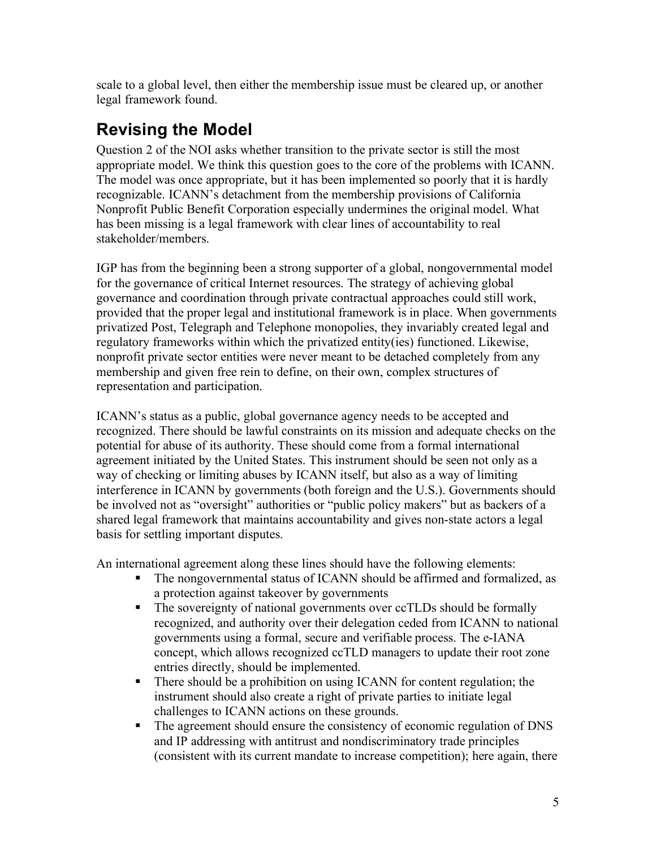scale to a global level, then either the membership issue must be cleared up, or another legal framework found.

# **Revising the Model**

Question 2 of the NOI asks whether transition to the private sector is still the most appropriate model. We think this question goes to the core of the problems with ICANN. The model was once appropriate, but it has been implemented so poorly that it is hardly recognizable. ICANN's detachment from the membership provisions of California Nonprofit Public Benefit Corporation especially undermines the original model. What has been missing is a legal framework with clear lines of accountability to real stakeholder/members.

IGP has from the beginning been a strong supporter of a global, nongovernmental model for the governance of critical Internet resources. The strategy of achieving global governance and coordination through private contractual approaches could still work, provided that the proper legal and institutional framework is in place. When governments privatized Post, Telegraph and Telephone monopolies, they invariably created legal and regulatory frameworks within which the privatized entity(ies) functioned. Likewise, nonprofit private sector entities were never meant to be detached completely from any membership and given free rein to define, on their own, complex structures of representation and participation.

ICANN's status as a public, global governance agency needs to be accepted and recognized. There should be lawful constraints on its mission and adequate checks on the potential for abuse of its authority. These should come from a formal international agreement initiated by the United States. This instrument should be seen not only as a way of checking or limiting abuses by ICANN itself, but also as a way of limiting interference in ICANN by governments (both foreign and the U.S.). Governments should be involved not as "oversight" authorities or "public policy makers" but as backers of a shared legal framework that maintains accountability and gives non-state actors a legal basis for settling important disputes.

An international agreement along these lines should have the following elements:

- The nongovernmental status of ICANN should be affirmed and formalized, as a protection against takeover by governments
- The sovereignty of national governments over ccTLDs should be formally recognized, and authority over their delegation ceded from ICANN to national governments using a formal, secure and verifiable process. The e-IANA concept, which allows recognized ccTLD managers to update their root zone entries directly, should be implemented.
- There should be a prohibition on using ICANN for content regulation; the instrument should also create a right of private parties to initiate legal challenges to ICANN actions on these grounds.
- The agreement should ensure the consistency of economic regulation of DNS and IP addressing with antitrust and nondiscriminatory trade principles (consistent with its current mandate to increase competition); here again, there